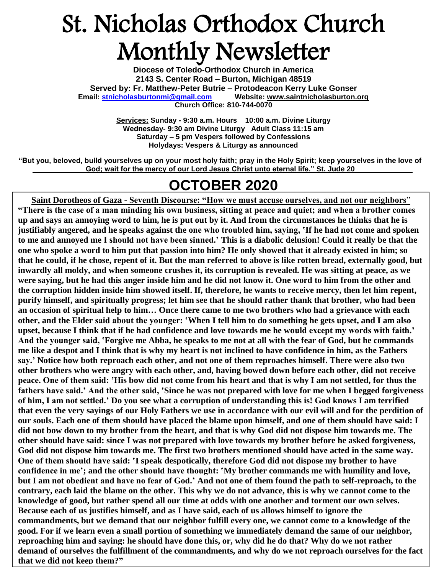## St. Nicholas Orthodox Church Monthly Newsletter

**Diocese of Toledo-Orthodox Church in America 2143 S. Center Road – Burton, Michigan 48519 Served by: Fr. Matthew-Peter Butrie – Protodeacon Kerry Luke Gonser Email: [stnicholasburtonmi@gmail.com](mailto:stnicholasburtonmi@gmail.com) Website: [www.saintnicholasburton.org](http://www.saintnicholasburton.org/) Church Office: 810-744-0070**

> **Services: Sunday - 9:30 a.m. Hours 10:00 a.m. Divine Liturgy Wednesday- 9:30 am Divine Liturgy Adult Class 11:15 am Saturday – 5 pm Vespers followed by Confessions Holydays: Vespers & Liturgy as announced**

**"But you, beloved, build yourselves up on your most holy faith; pray in the Holy Spirit; keep yourselves in the love of God; wait for the mercy of our Lord Jesus Christ unto eternal life." St. Jude 20**

### **OCTOBER 2020**

**Saint Dorotheos of Gaza - Seventh Discourse: "How we must accuse ourselves, and not our neighbors**" **"There is the case of a man minding his own business, sitting at peace and quiet; and when a brother comes up and says an annoying word to him, he is put out by it. And from the circumstances he thinks that he is justifiably angered, and he speaks against the one who troubled him, saying, 'If he had not come and spoken to me and annoyed me I should not have been sinned.' This is a diabolic delusion! Could it really be that the one who spoke a word to him put that passion into him? He only showed that it already existed in him; so that he could, if he chose, repent of it. But the man referred to above is like rotten bread, externally good, but inwardly all moldy, and when someone crushes it, its corruption is revealed. He was sitting at peace, as we were saying, but he had this anger inside him and he did not know it. One word to him from the other and the corruption hidden inside him showed itself. If, therefore, he wants to receive mercy, then let him repent, purify himself, and spiritually progress; let him see that he should rather thank that brother, who had been an occasion of spiritual help to him… Once there came to me two brothers who had a grievance with each other, and the Elder said about the younger: 'When I tell him to do something he gets upset, and I am also upset, because I think that if he had confidence and love towards me he would except my words with faith.' And the younger said, 'Forgive me Abba, he speaks to me not at all with the fear of God, but he commands me like a despot and I think that is why my heart is not inclined to have confidence in him, as the Fathers say.' Notice how both reproach each other, and not one of them reproaches himself. There were also two other brothers who were angry with each other, and, having bowed down before each other, did not receive peace. One of them said: 'His bow did not come from his heart and that is why I am not settled, for thus the fathers have said.' And the other said, 'Since he was not prepared with love for me when I begged forgiveness of him, I am not settled.' Do you see what a corruption of understanding this is! God knows I am terrified that even the very sayings of our Holy Fathers we use in accordance with our evil will and for the perdition of our souls. Each one of them should have placed the blame upon himself, and one of them should have said: I did not bow down to my brother from the heart, and that is why God did not dispose him towards me. The other should have said: since I was not prepared with love towards my brother before he asked forgiveness, God did not dispose him towards me. The first two brothers mentioned should have acted in the same way. One of them should have said: 'I speak despotically, therefore God did not dispose my brother to have confidence in me'; and the other should have thought: 'My brother commands me with humility and love, but I am not obedient and have no fear of God.' And not one of them found the path to self-reproach, to the contrary, each laid the blame on the other. This why we do not advance, this is why we cannot come to the knowledge of good, but rather spend all our time at odds with one another and torment our own selves. Because each of us justifies himself, and as I have said, each of us allows himself to ignore the commandments, but we demand that our neighbor fulfill every one, we cannot come to a knowledge of the good. For if we learn even a small portion of something we immediately demand the same of our neighbor, reproaching him and saying: he should have done this, or, why did he do that? Why do we not rather demand of ourselves the fulfillment of the commandments, and why do we not reproach ourselves for the fact that we did not keep them?"**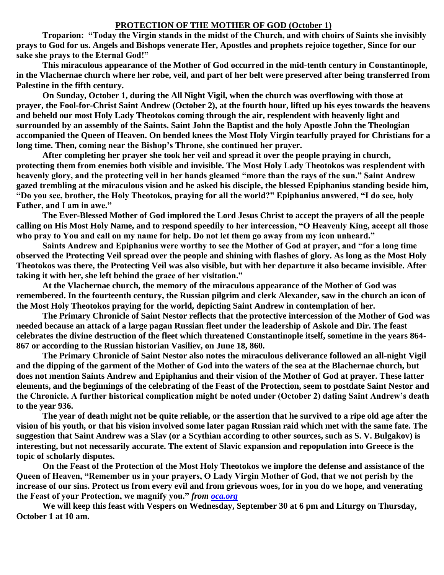### **PROTECTION OF THE MOTHER OF GOD (October 1)**

**Troparion: "Today the Virgin stands in the midst of the Church, and with choirs of Saints she invisibly prays to God for us. Angels and Bishops venerate Her, Apostles and prophets rejoice together, Since for our sake she prays to the Eternal God!"**

**This miraculous appearance of the Mother of God occurred in the mid-tenth century in Constantinople, in the Vlachernae church where her robe, veil, and part of her belt were preserved after being transferred from Palestine in the fifth century.**

**On Sunday, October 1, during the All Night Vigil, when the church was overflowing with those at prayer, the Fool-for-Christ Saint Andrew (October 2), at the fourth hour, lifted up his eyes towards the heavens and beheld our most Holy Lady Theotokos coming through the air, resplendent with heavenly light and surrounded by an assembly of the Saints. Saint John the Baptist and the holy Apostle John the Theologian accompanied the Queen of Heaven. On bended knees the Most Holy Virgin tearfully prayed for Christians for a long time. Then, coming near the Bishop's Throne, she continued her prayer.**

**After completing her prayer she took her veil and spread it over the people praying in church, protecting them from enemies both visible and invisible. The Most Holy Lady Theotokos was resplendent with heavenly glory, and the protecting veil in her hands gleamed "more than the rays of the sun." Saint Andrew gazed trembling at the miraculous vision and he asked his disciple, the blessed Epiphanius standing beside him, "Do you see, brother, the Holy Theotokos, praying for all the world?" Epiphanius answered, "I do see, holy Father, and I am in awe."**

**The Ever-Blessed Mother of God implored the Lord Jesus Christ to accept the prayers of all the people calling on His Most Holy Name, and to respond speedily to her intercession, "O Heavenly King, accept all those who pray to You and call on my name for help. Do not let them go away from my icon unheard."**

**Saints Andrew and Epiphanius were worthy to see the Mother of God at prayer, and "for a long time observed the Protecting Veil spread over the people and shining with flashes of glory. As long as the Most Holy Theotokos was there, the Protecting Veil was also visible, but with her departure it also became invisible. After taking it with her, she left behind the grace of her visitation."**

**At the Vlachernae church, the memory of the miraculous appearance of the Mother of God was remembered. In the fourteenth century, the Russian pilgrim and clerk Alexander, saw in the church an icon of the Most Holy Theotokos praying for the world, depicting Saint Andrew in contemplation of her.**

**The Primary Chronicle of Saint Nestor reflects that the protective intercession of the Mother of God was needed because an attack of a large pagan Russian fleet under the leadership of Askole and Dir. The feast celebrates the divine destruction of the fleet which threatened Constantinople itself, sometime in the years 864- 867 or according to the Russian historian Vasiliev, on June 18, 860.**

**The Primary Chronicle of Saint Nestor also notes the miraculous deliverance followed an all-night Vigil and the dipping of the garment of the Mother of God into the waters of the sea at the Blachernae church, but does not mention Saints Andrew and Epiphanius and their vision of the Mother of God at prayer. These latter elements, and the beginnings of the celebrating of the Feast of the Protection, seem to postdate Saint Nestor and the Chronicle. A further historical complication might be noted under (October 2) dating Saint Andrew's death to the year 936.**

**The year of death might not be quite reliable, or the assertion that he survived to a ripe old age after the vision of his youth, or that his vision involved some later pagan Russian raid which met with the same fate. The suggestion that Saint Andrew was a Slav (or a Scythian according to other sources, such as S. V. Bulgakov) is interesting, but not necessarily accurate. The extent of Slavic expansion and repopulation into Greece is the topic of scholarly disputes.**

**On the Feast of the Protection of the Most Holy Theotokos we implore the defense and assistance of the Queen of Heaven, "Remember us in your prayers, O Lady Virgin Mother of God, that we not perish by the increase of our sins. Protect us from every evil and from grievous woes, for in you do we hope, and venerating the Feast of your Protection, we magnify you."** *from [oca.org](https://www.oca.org/saints/lives/2020/10/01/102824-the-protection-of-our-most-holy-lady-the-mother-of-god-and-ever)*

**We will keep this feast with Vespers on Wednesday, September 30 at 6 pm and Liturgy on Thursday, October 1 at 10 am.**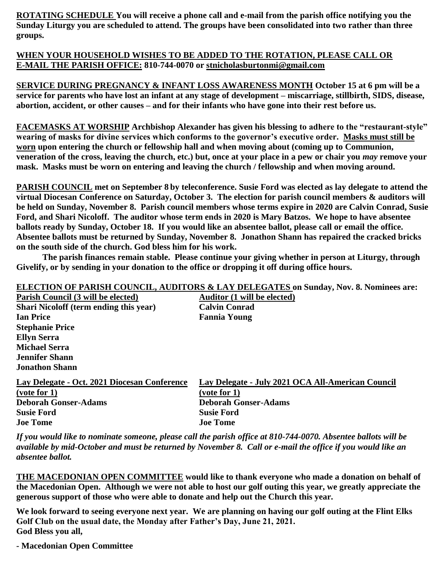**ROTATING SCHEDULE You will receive a phone call and e-mail from the parish office notifying you the Sunday Liturgy you are scheduled to attend. The groups have been consolidated into two rather than three groups.**

### **WHEN YOUR HOUSEHOLD WISHES TO BE ADDED TO THE ROTATION, PLEASE CALL OR E-MAIL THE PARISH OFFICE: 810-744-0070 or [stnicholasburtonmi@gmail.com](mailto:stnicholasburtonmi@gmail.com)**

**SERVICE DURING PREGNANCY & INFANT LOSS AWARENESS MONTH October 15 at 6 pm will be a service for parents who have lost an infant at any stage of development – miscarriage, stillbirth, SIDS, disease, abortion, accident, or other causes – and for their infants who have gone into their rest before us.**

**FACEMASKS AT WORSHIP Archbishop Alexander has given his blessing to adhere to the "restaurant-style" wearing of masks for divine services which conforms to the governor's executive order. Masks must still be worn upon entering the church or fellowship hall and when moving about (coming up to Communion, veneration of the cross, leaving the church, etc.) but, once at your place in a pew or chair you** *may* **remove your mask. Masks must be worn on entering and leaving the church / fellowship and when moving around.**

**PARISH COUNCIL met on September 8 by teleconference. Susie Ford was elected as lay delegate to attend the virtual Diocesan Conference on Saturday, October 3. The election for parish council members & auditors will be held on Sunday, November 8. Parish council members whose terms expire in 2020 are Calvin Conrad, Susie Ford, and Shari Nicoloff. The auditor whose term ends in 2020 is Mary Batzos. We hope to have absentee ballots ready by Sunday, October 18. If you would like an absentee ballot, please call or email the office. Absentee ballots must be returned by Sunday, November 8. Jonathon Shann has repaired the cracked bricks on the south side of the church. God bless him for his work.**

**The parish finances remain stable. Please continue your giving whether in person at Liturgy, through Givelify, or by sending in your donation to the office or dropping it off during office hours.**

### **ELECTION OF PARISH COUNCIL, AUDITORS & LAY DELEGATES on Sunday, Nov. 8. Nominees are: Parish Council (3 will be elected) Auditor (1 will be elected) Shari Nicoloff (term ending this year) Calvin Conrad Ian Price Fannia Young Stephanie Price Ellyn Serra Michael Serra Jennifer Shann Jonathon Shann Lay Delegate - Oct. 2021 Diocesan Conference Lay Delegate - July 2021 OCA All-American Council (vote for 1) (vote for 1) Deborah Gonser-Adams Deborah Gonser-Adams Susie Ford Susie Ford Joe Tome Joe Tome**

*If you would like to nominate someone, please call the parish office at 810-744-0070. Absentee ballots will be available by mid-October and must be returned by November 8. Call or e-mail the office if you would like an absentee ballot.*

**THE MACEDONIAN OPEN COMMITTEE would like to thank everyone who made a donation on behalf of the Macedonian Open. Although we were not able to host our golf outing this year, we greatly appreciate the generous support of those who were able to donate and help out the Church this year.**

**We look forward to seeing everyone next year. We are planning on having our golf outing at the Flint Elks Golf Club on the usual date, the Monday after Father's Day, June 21, 2021. God Bless you all,**

**- Macedonian Open Committee**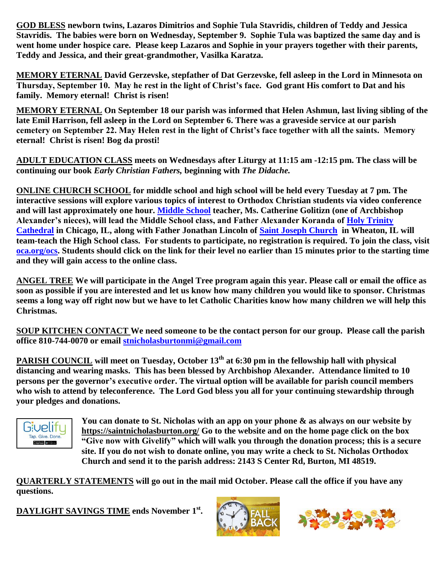**GOD BLESS newborn twins, Lazaros Dimitrios and Sophie Tula Stavridis, children of Teddy and Jessica Stavridis. The babies were born on Wednesday, September 9. Sophie Tula was baptized the same day and is went home under hospice care. Please keep Lazaros and Sophie in your prayers together with their parents, Teddy and Jessica, and their great-grandmother, Vasilka Karatza.**

**MEMORY ETERNAL David Gerzevske, stepfather of Dat Gerzevske, fell asleep in the Lord in Minnesota on Thursday, September 10. May he rest in the light of Christ's face. God grant His comfort to Dat and his family. Memory eternal! Christ is risen!**

**MEMORY ETERNAL On September 18 our parish was informed that Helen Ashmun, last living sibling of the late Emil Harrison, fell asleep in the Lord on September 6. There was a graveside service at our parish cemetery on September 22. May Helen rest in the light of Christ's face together with all the saints. Memory eternal! Christ is risen! Bog da prosti!**

**ADULT EDUCATION CLASS meets on Wednesdays after Liturgy at 11:15 am -12:15 pm. The class will be continuing our book** *Early Christian Fathers,* **beginning with** *The Didache.*

**ONLINE CHURCH SCHOOL for middle school and high school will be held every Tuesday at 7 pm. The interactive sessions will explore various topics of interest to Orthodox Christian students via video conference and will last approximately one hour. [Middle School](https://www.stjohnsacademysf.org/) teacher, Ms. Catherine Golitizn (one of Archbishop Alexander's nieces), will lead the Middle School class, and Father Alexander Koranda of [Holy Trinity](https://www.oca.org/parishes/oca-mw-chihtk)  [Cathedral](https://www.oca.org/parishes/oca-mw-chihtk) in Chicago, IL, along with Father Jonathan Lincoln of [Saint Joseph Church](https://www.oca.org/parishes/oca-mw-aursjc) in Wheaton, IL will team-teach the High School class. For students to participate, no registration is required. To join the class, visit [oca.org/ocs.](https://www.oca.org/ocs) Students should click on the link for their level no earlier than 15 minutes prior to the starting time and they will gain access to the online class.**

**ANGEL TREE We will participate in the Angel Tree program again this year. Please call or email the office as soon as possible if you are interested and let us know how many children you would like to sponsor. Christmas seems a long way off right now but we have to let Catholic Charities know how many children we will help this Christmas.**

**SOUP KITCHEN CONTACT We need someone to be the contact person for our group. Please call the parish office 810-744-0070 or email [stnicholasburtonmi@gmail.com](mailto:stnicholasburtonmi@gmail.com)**

**PARISH COUNCIL will meet on Tuesday, October 13th at 6:30 pm in the fellowship hall with physical distancing and wearing masks. This has been blessed by Archbishop Alexander. Attendance limited to 10 persons per the governor's executive order. The virtual option will be available for parish council members who wish to attend by teleconference. The Lord God bless you all for your continuing stewardship through your pledges and donations.** 



**You can donate to St. Nicholas with an app on your phone & as always on our website by <https://saintnicholasburton.org/> Go to the website and on the home page click on the box "Give now with Givelify" which will walk you through the donation process; this is a secure site. If you do not wish to donate online, you may write a check to St. Nicholas Orthodox Church and send it to the parish address: 2143 S Center Rd, Burton, MI 48519.**

**QUARTERLY STATEMENTS will go out in the mail mid October. Please call the office if you have any questions.**

**DAYLIGHT SAVINGS TIME ends November 1st .**

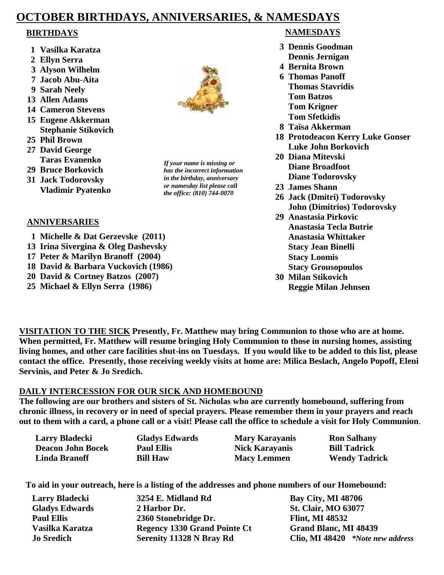### **OCTOBER BIRTHDAYS, ANNIVERSARIES, & NAMESDAYS**

- **1 Vasilka Karatza**
- **2 Ellyn Serra**
- **3 Alyson Wilhelm**
- **7 Jacob Abu-Aita**
- **9 Sarah Neely**
- **13 Allen Adams**
- **14 Cameron Stevens**
- **15 Eugene Akkerman Stephanie Stikovich**
- **25 Phil Brown**
- **27 David George Taras Evanenko**
- **29 Bruce Borkovich**
- **31 Jack Todorovsky Vladimir Pyatenko**

### **ANNIVERSARIES**

- **1 Michelle & Dat Gerzevske (2011)**
- **13 Irina Sivergina & Oleg Dashevsky**
- **17 Peter & Marilyn Branoff (2004)**
- **18 David & Barbara Vuckovich (1986)**
- **20 David & Cortney Batzos (2007)**
- **25 Michael & Ellyn Serra (1986)**

*If your name is missing or has the incorrect information in the birthday, anniversary or namesday list please call the office: (810) 744-0070*

### **BIRTHDAYS NAMESDAYS**

- **3 Dennis Goodman Dennis Jernigan**
- **4 Bernita Brown**
- **6 Thomas Panoff Thomas Stavridis Tom Batzos Tom Krigner Tom Sfetkidis**
- **8 Taïsa Akkerman**
- **18 Protodeacon Kerry Luke Gonser Luke John Borkovich**
- **20 Diana Mitevski Diane Broadfoot Diane Todorovsky**
- **23 James Shann**
- **26 Jack (Dmitri) Todorovsky John (Dimitrios) Todorovsky**
- **29 Anastasia Pirkovic Anastasia Tecla Butrie Anastasia Whittaker Stacy Jean Binelli Stacy Loomis Stacy Grousopoulos**
- **30 Milan Stikovich Reggie Milan Jehnsen**

**VISITATION TO THE SICK Presently, Fr. Matthew may bring Communion to those who are at home. When permitted, Fr. Matthew will resume bringing Holy Communion to those in nursing homes, assisting living homes, and other care facilities shut-ins on Tuesdays. If you would like to be added to this list, please contact the office. Presently, those receiving weekly visits at home are: Milica Beslach, Angelo Popoff, Eleni Servinis, and Peter & Jo Sredich.**

### **DAILY INTERCESSION FOR OUR SICK AND HOMEBOUND**

**The following are our brothers and sisters of St. Nicholas who are currently homebound, suffering from chronic illness, in recovery or in need of special prayers. Please remember them in your prayers and reach out to them with a card, a phone call or a visit! Please call the office to schedule a visit for Holy Communion**.

| <b>Larry Bladecki</b>    | <b>Gladys Edwards</b> | <b>Mary Karayanis</b> | <b>Ron Salhany</b>   |
|--------------------------|-----------------------|-----------------------|----------------------|
| <b>Deacon John Bocek</b> | <b>Paul Ellis</b>     | <b>Nick Karayanis</b> | <b>Bill Tadrick</b>  |
| Linda Branoff            | <b>Bill Haw</b>       | <b>Macy Lemmen</b>    | <b>Wendy Tadrick</b> |

**To aid in your outreach, here is a listing of the addresses and phone numbers of our Homebound:**

| Larry Bladecki        | 3254 E. Midland Rd                  | <b>Bay City, MI 48706</b>        |
|-----------------------|-------------------------------------|----------------------------------|
| <b>Gladys Edwards</b> | 2 Harbor Dr.                        | <b>St. Clair, MO 63077</b>       |
| <b>Paul Ellis</b>     | 2360 Stonebridge Dr.                | <b>Flint, MI 48532</b>           |
| Vasilka Karatza       | <b>Regency 1330 Grand Pointe Ct</b> | Grand Blanc, MI 48439            |
| <b>Jo Sredich</b>     | Serenity 11328 N Bray Rd            | Clio, MI 48420 *Note new address |

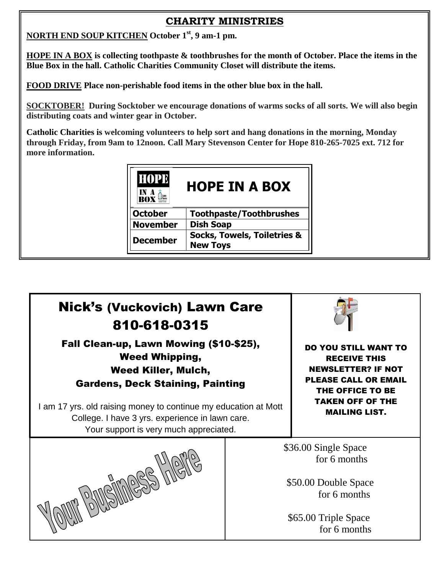### **CHARITY MINISTRIES**

**NORTH END SOUP KITCHEN October 1st, 9 am-1 pm.**

**HOPE IN A BOX is collecting toothpaste & toothbrushes for the month of October. Place the items in the Blue Box in the hall. Catholic Charities Community Closet will distribute the items.**

**FOOD DRIVE Place non-perishable food items in the other blue box in the hall.**

**SOCKTOBER! During Socktober we encourage donations of warms socks of all sorts. We will also begin distributing coats and winter gear in October.** 

**Catholic Charities is welcoming volunteers to help sort and hang donations in the morning, Monday through Friday, from 9am to 12noon. Call Mary Stevenson Center for Hope 810-265-7025 ext. 712 for more information.**

| <b>HOPE</b><br><b>HOPE IN A BOX</b> |                                                           |  |  |
|-------------------------------------|-----------------------------------------------------------|--|--|
| <b>October</b>                      | <b>Toothpaste/Toothbrushes</b>                            |  |  |
| <b>November</b>                     | <b>Dish Soap</b>                                          |  |  |
| December                            | <b>Socks, Towels, Toiletries &amp;</b><br><b>New Toys</b> |  |  |